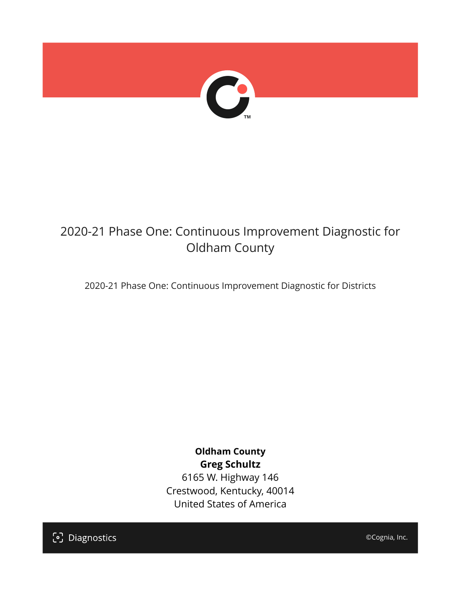

# 2020-21 Phase One: Continuous Improvement Diagnostic for Oldham County

2020-21 Phase One: Continuous Improvement Diagnostic for Districts

# **Oldham County Greg Schultz**

6165 W. Highway 146 Crestwood, Kentucky, 40014 United States of America



©Cognia, Inc.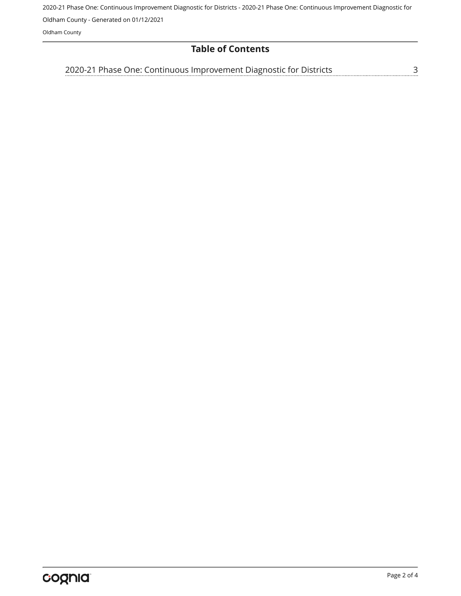2020-21 Phase One: Continuous Improvement Diagnostic for Districts - 2020-21 Phase One: Continuous Improvement Diagnostic for

Oldham County - Generated on 01/12/2021

Oldham County

# **Table of Contents**

<u>[3](#page-2-0)</u> [2020-21 Phase One: Continuous Improvement Diagnostic for Districts](#page-2-0)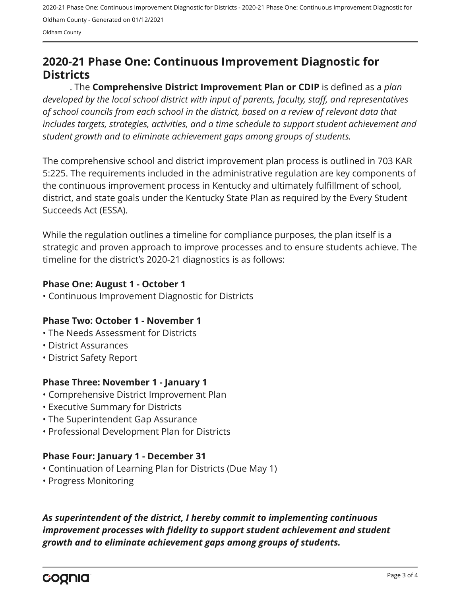2020-21 Phase One: Continuous Improvement Diagnostic for Districts - 2020-21 Phase One: Continuous Improvement Diagnostic for Oldham County - Generated on 01/12/2021

Oldham County

# <span id="page-2-0"></span>**2020-21 Phase One: Continuous Improvement Diagnostic for Districts**

. The **Comprehensive District Improvement Plan or CDIP** is defined as a *plan developed by the local school district with input of parents, faculty, staff, and representatives of school councils from each school in the district, based on a review of relevant data that includes targets, strategies, activities, and a time schedule to support student achievement and student growth and to eliminate achievement gaps among groups of students.*

The comprehensive school and district improvement plan process is outlined in 703 KAR 5:225. The requirements included in the administrative regulation are key components of the continuous improvement process in Kentucky and ultimately fulfillment of school, district, and state goals under the Kentucky State Plan as required by the Every Student Succeeds Act (ESSA).

While the regulation outlines a timeline for compliance purposes, the plan itself is a strategic and proven approach to improve processes and to ensure students achieve. The timeline for the district's 2020-21 diagnostics is as follows:

#### **Phase One: August 1 - October 1**

• Continuous Improvement Diagnostic for Districts

## **Phase Two: October 1 - November 1**

- The Needs Assessment for Districts
- District Assurances
- District Safety Report

## **Phase Three: November 1 - January 1**

- Comprehensive District Improvement Plan
- Executive Summary for Districts
- The Superintendent Gap Assurance
- Professional Development Plan for Districts

## **Phase Four: January 1 - December 31**

- Continuation of Learning Plan for Districts (Due May 1)
- Progress Monitoring

*As superintendent of the district, I hereby commit to implementing continuous improvement processes with fidelity to support student achievement and student growth and to eliminate achievement gaps among groups of students.*